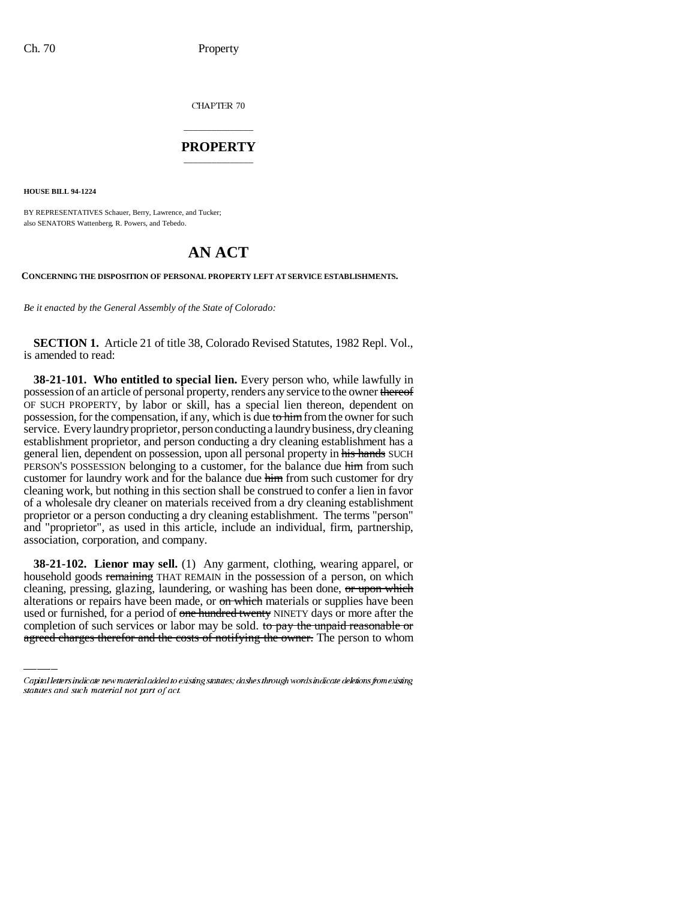CHAPTER 70

## \_\_\_\_\_\_\_\_\_\_\_\_\_\_\_ **PROPERTY** \_\_\_\_\_\_\_\_\_\_\_\_\_\_\_

**HOUSE BILL 94-1224**

BY REPRESENTATIVES Schauer, Berry, Lawrence, and Tucker; also SENATORS Wattenberg, R. Powers, and Tebedo.

# **AN ACT**

#### **CONCERNING THE DISPOSITION OF PERSONAL PROPERTY LEFT AT SERVICE ESTABLISHMENTS.**

*Be it enacted by the General Assembly of the State of Colorado:*

**SECTION 1.** Article 21 of title 38, Colorado Revised Statutes, 1982 Repl. Vol., is amended to read:

**38-21-101. Who entitled to special lien.** Every person who, while lawfully in possession of an article of personal property, renders any service to the owner thereof OF SUCH PROPERTY, by labor or skill, has a special lien thereon, dependent on possession, for the compensation, if any, which is due to him from the owner for such service. Every laundry proprietor, person conducting a laundry business, dry cleaning establishment proprietor, and person conducting a dry cleaning establishment has a general lien, dependent on possession, upon all personal property in his hands SUCH PERSON'S POSSESSION belonging to a customer, for the balance due him from such customer for laundry work and for the balance due him from such customer for dry cleaning work, but nothing in this section shall be construed to confer a lien in favor of a wholesale dry cleaner on materials received from a dry cleaning establishment proprietor or a person conducting a dry cleaning establishment. The terms "person" and "proprietor", as used in this article, include an individual, firm, partnership, association, corporation, and company.

cleaning, pressing, glazing, laundering, or washing has been done, or upon which **38-21-102. Lienor may sell.** (1) Any garment, clothing, wearing apparel, or household goods remaining THAT REMAIN in the possession of a person, on which alterations or repairs have been made, or on which materials or supplies have been used or furnished, for a period of one hundred twenty NINETY days or more after the completion of such services or labor may be sold. to pay the unpaid reasonable or agreed charges therefor and the costs of notifying the owner. The person to whom

Capital letters indicate new material added to existing statutes; dashes through words indicate deletions from existing statutes and such material not part of act.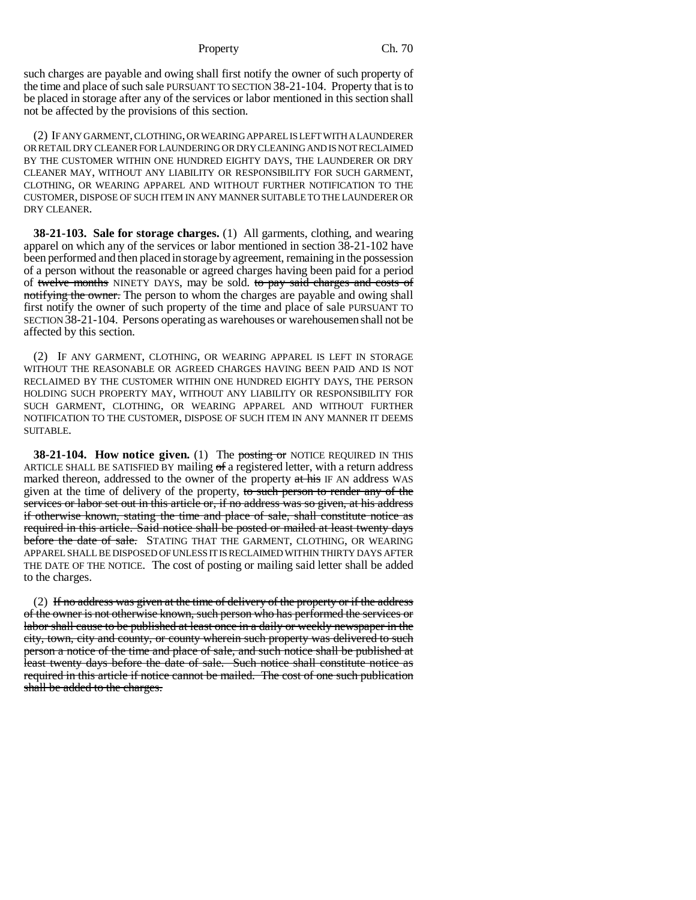#### Property Ch. 70

such charges are payable and owing shall first notify the owner of such property of the time and place of such sale PURSUANT TO SECTION 38-21-104. Property that is to be placed in storage after any of the services or labor mentioned in this section shall not be affected by the provisions of this section.

(2) IF ANY GARMENT, CLOTHING, OR WEARING APPAREL IS LEFT WITH A LAUNDERER OR RETAIL DRY CLEANER FOR LAUNDERING OR DRY CLEANING AND IS NOT RECLAIMED BY THE CUSTOMER WITHIN ONE HUNDRED EIGHTY DAYS, THE LAUNDERER OR DRY CLEANER MAY, WITHOUT ANY LIABILITY OR RESPONSIBILITY FOR SUCH GARMENT, CLOTHING, OR WEARING APPAREL AND WITHOUT FURTHER NOTIFICATION TO THE CUSTOMER, DISPOSE OF SUCH ITEM IN ANY MANNER SUITABLE TO THE LAUNDERER OR DRY CLEANER.

**38-21-103. Sale for storage charges.** (1) All garments, clothing, and wearing apparel on which any of the services or labor mentioned in section 38-21-102 have been performed and then placed in storage by agreement, remaining in the possession of a person without the reasonable or agreed charges having been paid for a period of twelve months NINETY DAYS, may be sold. to pay said charges and costs of notifying the owner. The person to whom the charges are payable and owing shall first notify the owner of such property of the time and place of sale PURSUANT TO SECTION 38-21-104. Persons operating as warehouses or warehousemen shall not be affected by this section.

(2) IF ANY GARMENT, CLOTHING, OR WEARING APPAREL IS LEFT IN STORAGE WITHOUT THE REASONABLE OR AGREED CHARGES HAVING BEEN PAID AND IS NOT RECLAIMED BY THE CUSTOMER WITHIN ONE HUNDRED EIGHTY DAYS, THE PERSON HOLDING SUCH PROPERTY MAY, WITHOUT ANY LIABILITY OR RESPONSIBILITY FOR SUCH GARMENT, CLOTHING, OR WEARING APPAREL AND WITHOUT FURTHER NOTIFICATION TO THE CUSTOMER, DISPOSE OF SUCH ITEM IN ANY MANNER IT DEEMS SUITABLE.

**38-21-104. How notice given.** (1) The **posting or** NOTICE REQUIRED IN THIS ARTICLE SHALL BE SATISFIED BY mailing of a registered letter, with a return address marked thereon, addressed to the owner of the property at his IF AN address WAS given at the time of delivery of the property, to such person to render any of the services or labor set out in this article or, if no address was so given, at his address if otherwise known, stating the time and place of sale, shall constitute notice as required in this article. Said notice shall be posted or mailed at least twenty days before the date of sale. STATING THAT THE GARMENT, CLOTHING, OR WEARING APPAREL SHALL BE DISPOSED OF UNLESS IT IS RECLAIMED WITHIN THIRTY DAYS AFTER THE DATE OF THE NOTICE. The cost of posting or mailing said letter shall be added to the charges.

 $(2)$  If no address was given at the time of delivery of the property or if the address of the owner is not otherwise known, such person who has performed the services or labor shall cause to be published at least once in a daily or weekly newspaper in the city, town, city and county, or county wherein such property was delivered to such person a notice of the time and place of sale, and such notice shall be published at least twenty days before the date of sale. Such notice shall constitute notice as required in this article if notice cannot be mailed. The cost of one such publication shall be added to the charges.